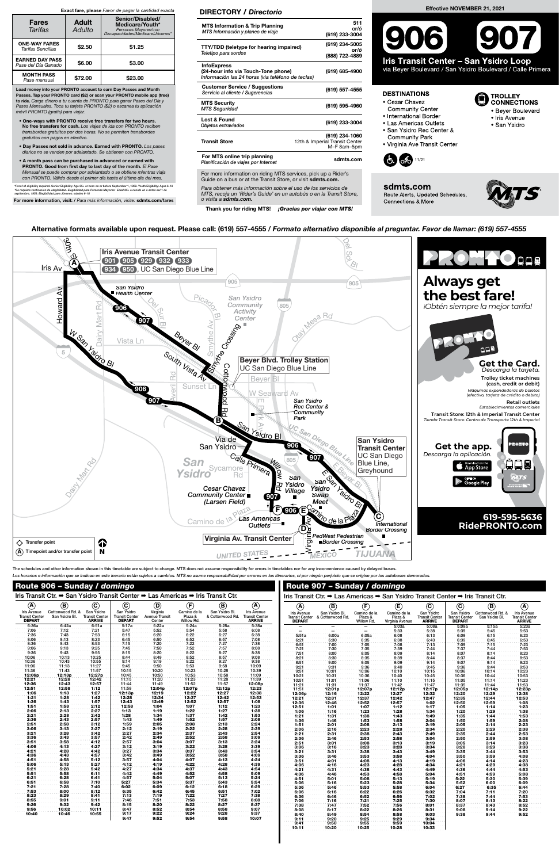| Route 906 - Sunday / domingo                                                     |                  |                                        |                                        |                                 |                             |                  |                                                                                  |                                        | Route 907 - Sunday / domingo |                       |                            |                                 |                                 |                  |                                        |
|----------------------------------------------------------------------------------|------------------|----------------------------------------|----------------------------------------|---------------------------------|-----------------------------|------------------|----------------------------------------------------------------------------------|----------------------------------------|------------------------------|-----------------------|----------------------------|---------------------------------|---------------------------------|------------------|----------------------------------------|
| Iris Transit Ctr. → San Ysidro Transit Center → Las Americas → Iris Transit Ctr. |                  |                                        |                                        |                                 |                             |                  | Iris Transit Ctr. → Las Americas → San Ysidro Transit Center → Iris Transit Ctr. |                                        |                              |                       |                            |                                 |                                 |                  |                                        |
| $\circledast$                                                                    | (Β               | (C                                     | $^\mathrm{c}$                          | O                               |                             | (B               | $\overline{\mathbf{A}}$                                                          | $\bigcircledA$                         |                              |                       | Œ                          | (C)                             | (C                              | E                |                                        |
| <b>Iris Avenue</b>                                                               | Cottonwood Rd. & | San Ysidro                             | San Ysidro                             | Virginia                        | Camino de la                | San Ysidro Bl.   | <b>Iris Avenue</b>                                                               | <b>Iris Avenue</b>                     | San Ysidro Bl.               | Camino de la          | Camino de la               | San Ysidro                      | San<br>∣ Ysidrc                 | Cottonwood Rd. & | <b>Iris Avenue</b>                     |
| <b>Transit Center</b><br><b>DEPART</b>                                           | San Ysidro Bl.   | <b>Transit Center</b><br><b>ARRIVE</b> | <b>Transit Center</b><br><b>DEPART</b> | <b>Avenue Transit</b><br>Center | Plaza &<br><b>Willow Rd</b> | & Cottonwood Rd. | <b>Transit Center</b><br><b>ARRIVE</b>                                           | <b>Transit Center</b><br><b>DEPART</b> | & Cottonwood Rd.             | Plaza &<br>Willow Rd. | Plaza &<br>Virginia Avenue | Transit Center<br><b>ARRIVE</b> | Transit Center<br><b>DEPART</b> | San Ysidro Bl    | <b>Transit Center</b><br><b>ARRIVE</b> |
| 6:36a                                                                            | 6:42a            | 6:51a                                  | 5:17a                                  | 5:22a                           | 5:24a                       | 5:28a            | 5:38a                                                                            |                                        |                              |                       | 5:03a                      | 5.08a                           | 5:09a                           | 5:15a            | 5:23a                                  |
| 7:06                                                                             | 7:12             | 7:21                                   | 5:47                                   | 5:52                            | 5:54                        | 5:58             | 6:08                                                                             |                                        | -                            |                       | 5:33                       | 5.38                            | 5:39                            | 5:45             | 5:53                                   |

| 7:36         | 7:43         | 7:53         | 6:15         | 6:20         | 6:22         | 6:27         | 6:38         | 5:51a  | 6:00a        | 6:05a        | 6:08         | 6:13          | 6:09         | 6:15         | 6:23          |
|--------------|--------------|--------------|--------------|--------------|--------------|--------------|--------------|--------|--------------|--------------|--------------|---------------|--------------|--------------|---------------|
| 8:06         | 8:13         | 8:23         | 6:45         | 6:50         | 6:52         | 6:57         | 7:08         | 6:21   | 6:30         | 6:35         | 6:38         | 6:43          | 6:39         | 6:45         | 6:53          |
| 8:36         | 8:43         | 8:53         | 7:15         | 7:20         | 7:22         | 7:27         | 7:38         | 6:51   | 7:00         | 7:05         | 7:08         | 7:13          | 7:09         | 7.15         | 7:23          |
| 9:06         | 9:13         | 9:25         | 7:45         | 7:50         | 7:52         | 7:57         | 8:08         | 7:21   | 7:30         | 7:35         | 7.39         | 7:44          | 7:37         | 7.44         | 7:53          |
| 9:36         | 9:43         | 9:55         | 8:15         | 8:20         | 8:22         | 8:27         | 8:38         | 7:51   | 8:00         | 8:05         | 8:09         | 8:14          | 8:07         | 8:14         | 8:23          |
| 10:06        | 10:13        | 10:25        | 8:44         | 8:49         | 8:52         | 8:57         | 9.08         | 8:21   | 8:30         | 8:35         | 8:39         | 8:44          | 8:37         | 8:44         | 8:53          |
| 10:36        | 10:43        | 10:55        | 9:14         | 9:19         | 9:22         | 9:27         | 9.38         | 8:51   | 9:00         | 9:05         | 9:09         | 9.14          | 9:07         | 9:14         | 9:23          |
| 11:06        | 11:13        | 11:27        | 9:45         | 9:50         | 9:53         | 9:58         | 10:09        | 9:21   | 9:31         | 9:36         | 9:40         | 9.45          | 9:36         | 9:44         | 9:53          |
| 11:36        | 11:43        | 11:57        | 10:15        | 10:20        | 10:23        | 10:28        | 10:39        | 9:51   | 10:01        | 10:06        | 10:10        | 10.15         | 10:06        | 10:14        | 10:23         |
| 12:06p       | 12:13p       | 12:27p       | 10:45        | 10:50        | 10:53        | 10:58        | 11:09        | 10:21  | 10:31        | 10:36        | 10:40        | 10:45         | 10.36        | 10:44        | 10:53         |
| 12:21        | 12:28        | 12:42        | 11:15        | 11:20        | 11:23        | 11:28        | 11:39        | 10:51  | 11:01        | 11:06        | 11:10        | 11:15         | 11:05        | 11:14        | 11:23         |
| 12:36        | 12:43        | 12:57        | 11:44        | 11:49        | 11:52        | 11:57        | 12:08p       | 11:21  | 11:31        | 11:37        | 11:42        | 11:47         | 11:35        | 11:44        | 11:53         |
| 12:51        | 12:58        | 1:12         | 11:59        | 12:04p       | 12:07p       | 12:12p       | 12:23        | 11:51  | 12:01p       | 12:07p       | 12:12p       | 12:17p        | 12:05p       | 12:14p       | 12:23p        |
| 1:06         | 1:13         | 1:27         | 12:13p       | 12:19        | 12:22        | 12:27        | 12:38        | 12:06p | 12:16        | 12:22        | 12:27        | 12:32         | 12:20        | 12:29        | 12:38         |
| 1:21         | 1:28         | 1:42         | 12:28        | 12:34        | 12:37        | 12:42        | 12:53        | 12:21  | 12:31        | 12:37        | 12:42        |               | 12:35        | 12:44        |               |
| 1:36         | 1:43         | 1:57         | 12:43        | 12:49        | 12:52        | 12:57        | 1:08         | 12:36  | 12:46        | 12:52        | 12:57        | 12:47<br>1:02 | 12:50        | 12:59        | 12:53<br>1:08 |
| 1:51         | 1:58         | 2:12         | 12:58        | 1:04         | 1:07         | 1:12         | 1:23         | 12:51  | 1:01         |              |              | 1:17          | 1:05         |              |               |
| 2:06         | 2:13         | 2:27         | 1:13         | 1:19         | 1:22         | 1:27         | 1:38         |        |              | 1:07<br>1:23 | 1:12         |               |              | 1:14<br>1:29 | 1:23          |
| 2:21         | 2:28         | 2:42         | 1:28         | 1:34         | 1:37         | 1:42         | 1:53         | 1:06   | 1:16<br>1:31 | 1:38         | 1:28<br>1:43 | 1:34<br>1:49  | 1:20<br>1:35 | 1:44         | 1:38<br>1:53  |
| 2:36         | 2:43         | 2:57         | 1:43         | 1:49         | 1:52         | 1:57         | 2:08         | 1:21   |              |              |              |               |              |              |               |
| 2:51         | 2:58         | 3:12         | 1:59         | 2:05         | 2:08         | 2:13         | 2:24         | 1:36   | 1:46         | 1:53         | 1:58         | 2:04<br>2:19  | 1:50         | 1:59         | 2:08          |
| 3:06         | 3:13         | 3:27         | 2:12         | 2:19         | 2:22         | 2:28         | 2:39         | 1:51   | 2:01         | 2:08         | 2:13         |               | 2:05         | 2:14         | 2:23          |
| 3:21         | 3:28         | 3:42         | 2:27         | 2:34         | 2:37         | 2:43         | 2:54         | 2:06   | 2:16         | 2:23         | 2:28         | 2:34          | 2:20         | 2:29         | 2:38          |
| 3:36         | 3:43         | 3:57         | 2:42         | 2:49         | 2:52         | 2:58         | 3:09         | 2:21   | 2:31         | 2:38         | 2:43         | 2:49          | 2:35         | 2:44         | 2:53          |
| 3:51         | 3:58         | 4:12         | 2:57         | 3:04         | 3:07         | 3:13         | 3:24         | 2:36   | 2:46         | 2:53         | 2:58         | 3:04          | 2:50         | 2:59         | 3:08          |
| 4:06         | 4:13         | 4:27         | 3:12         | 3:19         | 3:22         | 3:28         | 3:39         | 2:51   | 3:01         | 3:08         | 3:13         | 3:19          | 3:05         | 3:14         | 3:23          |
| 4:21         | 4:28         | 4:42         | 3:27         |              |              |              |              | 3:06   | 3:16         | 3:23         | 3:28         | 3:34          | 3:20         | 3:29         | 3:38          |
|              | 4:43         | 4:57         | 3:42         | 3:34         | 3:37         | 3:43<br>3:58 | 3:54         | 3:21   | 3:31         | 3:38         | 3:43         | 3:49          | 3:35         | 3:44         | 3:53          |
| 4:36         |              |              |              | 3:49         | 3:52         |              | 4:09         | 3:36   | 3:46         | 3:53         | 3:58         | 4:04          | 3:50         | 3:59         | 4:08          |
| 4:51<br>5:06 | 4:58<br>5:13 | 5:12<br>5:27 | 3:57<br>4:12 | 4:04<br>4:19 | 4:07<br>4:22 | 4:13<br>4:28 | 4:24<br>4:39 | 3:51   | 4:01         | 4:08         | 4:13         | 4:19          | 4:06         | 4:14         | 4:23          |
|              | 5:28         | 5:42         | 4:27         | 4:34         | 4:37         | 4:43         | 4:54         | 4:06   | 4:16         | 4:23         | 4:28         | 4:34          | 4:21         | 4:29         | 4:38          |
| 5:21         |              |              |              |              |              |              |              | 4:21   | 4:31         | 4:38         | 4:43         | 4:49          | 4:36         | 4:44         | 4:53          |
| 5:51         | 5:58         | 6:11         | 4:42         | 4:49         | 4:52         | 4:58         | 5:09         | 4:36   | 4:46         | 4:53         | 4:58         | 5:04          | 4:51         | 4:59         | 5:08          |
| 6:21         | 6:28         | 6:41         | 4:57         | 5:04         | 5:07         | 5:13<br>5:43 | 5:24         | 4:51   | 5:01         | 5:08         | 5:13         | 5:19          | 5:22         | 5:30         | 5:39          |
| 6:51         | 6:58         | 7:10         | 5:27         | 5:34         | 5:37         |              | 5:54         | 5:06   | 5:16         | 5:23         | 5:28         | 5:34          | 5:52         | 6:00         | 6:09          |
| 7:21         | 7:28         | 7:40         | 6:02         | 6:09         | 6:12         | 6:18         | 6:29         | 5:36   | 5:46         | 5:53         | 5:58         | 6:04          | 6:27         | 6:35         | 6:44          |
| 7:53         | 8:00         | 8:12         | 6:35         | 6:42         | 6:45         | 6:51         | 7:02         | 6:06   | 6:16         | 6:22         | 6:26         | 6:32          | 7:04         | 7:11         | 7:20          |
| 8:23         | 8:29         | 8:41         | 7:13         | 7:19         | 7:22         | 7:27         | 7:38         | 6:36   | 6:46         | 6:52         | 6:56         | 7:02          | 7:38         | 7:44         | 7:53          |
| 8:55         | 9:01         | 9:11         | 7:46         | 7:51         | 7:53         | 7:58         | 8:08         | 7:06   | 7:16         | 7:21         | 7:25         | 7:30          | 8:07         | 8:13         | 8:22          |
| 9:26         | 9:32         | 9:42         | 8:15         | 8:20         | 8:22         | 8:27         | 8:37         | 7:38   | 7:47         | 7:52         | 7:56         | 8:01          | 8:37         | 8:43         | 8:52          |
| 9:56         | 10:02        | 10:11        | 8:47         | 8:52         | 8:54         | 8:58         | 9:07         | 8:08   | 8:17         | 8:22         | 8:26         | 8:31          | 9:08         | 9:14         | 9:22          |
| 10:40        | 10:46        | 10:55        | 9:17         | 9:22         | 9:24         | 9:28         | 9:37         | 8:40   | 8:49         | 8:54         | 8:58         | 9:03          | 9:38         | 9:44         | 9:52          |
|              |              |              | 9:47         | 9:52         | 9:54         | 9:58         | 10:07        | 9:11   | 9:20         | 9:25         | 9:29         | 9:34          |              |              |               |
|              |              |              |              |              |              |              |              | 9:41   | 9:50         | 9:55         | 9:59         | 10:04         |              |              |               |
|              |              |              |              |              |              |              |              | 10:11  | 10:20        | 10:25        | 10:28        | 10:33         |              |              |               |

For more information on riding MTS services, pick up a Rider's Guide on a bus or at the Transit Store, or visit sdmts.com.

The schedules and other information shown in this timetable are subject to change. MTS does not assume responsibility for errors in timetables nor for any inconvenience caused by delayed buses. Los horarios e información que se indican en este inerario están sujetos a cambios. MTS no asume responsabilidad por errores en los itinerarios, ni por ningún perjuicio que se origine por los autobuses demorados.



Alternative formats available upon request. Please call: (619) 557-4555 / Formato alternativo disponible al preguntar. Favor de llamar: (619) 557-4555

# Effective NOVEMBER 21, 2021



via Beyer Boulevard / San Ysidro Boulevard / Calle Primera

### **DESTINATIONS**

- Cesar Chavez
- **Community Center**
- · International Border
- Las Americas Outlets · San Ysidro Rec Center &
- TROLLEY<br>DCONNECTIONS
- · Beyer Boulevard
	- Iris Avenue · San Ysidro
	-
- Community Park
- Virginia Ave Transit Center



sdmts.com Route Alerts, Updated Schedules, Connections & More



Para obtener más información sobre el uso de los servicios de MTS, recoja un 'Rider's Guide' en un autobús o en la Transit Store, o visita a sdmts.com.

Thank you for riding MTS! ¡Gracias por viajar con MTS!

# DIRECTORY / Directorio

| <b>MTS Information &amp; Trip Planning</b><br>MTS Información y planeo de viaje                                | 511<br>or/ó<br>(619) 233-3004                                   |
|----------------------------------------------------------------------------------------------------------------|-----------------------------------------------------------------|
| <b>TTY/TDD (teletype for hearing impaired)</b><br>Teletipo para sordos                                         | (619) 234-5005<br>or/ó<br>(888) 722-4889                        |
| <b>InfoExpress</b><br>(24-hour info via Touch-Tone phone)<br>Información las 24 horas (via teléfono de teclas) | (619) 685-4900                                                  |
| <b>Customer Service / Suggestions</b><br>Servicio al cliente / Sugerencias                                     | (619) 557-4555                                                  |
| <b>MTS Security</b><br><b>MTS Seguridad</b>                                                                    | (619) 595-4960                                                  |
| Lost & Found<br>Objetos extraviados                                                                            | (619) 233-3004                                                  |
| <b>Transit Store</b>                                                                                           | (619) 234-1060<br>12th & Imperial Transit Center<br>M-F 8am-5pm |
| For MTS online trip planning<br>Planificación de viajes por Internet                                           | sdmts.com                                                       |

Load money into your PRONTO account to earn Day Passes and Month Passes. Tap your PRONTO card (\$2) or scan your PRONTO mobile app (free) to ride. Carga dinero a tu cuenta de PRONTO para ganar Pases del Día y Pases Mensuales. Toca tu tarjeta PRONTO (\$2) o escanea tu aplicación móvil PRONTO (gratis) para viajar.

- One-ways with PRONTO receive free transfers for two hours. No free transfers for cash. Los viajes de ida con PRONTO reciben transbordes gratuitos por dos horas. No se permiten transbordes gratuitos con pagos en efectivo.
- Day Passes not sold in advance. Earned with PRONTO. Los pases diarios no se venden por adelantado. Se obtienen con PRONTO.
- A month pass can be purchased in advanced or earned with PRONTO. Good from first day to last day of the month. El Pase Mensual se puede comprar por adelantado o se obtiene mientras viaja con PRONTO. Válido desde el primer día hasta el último día del mes.

"Proof of eligibility required. Senior Eligibility: Age 65+ or born on or before September 1, 1959. Youth Eligibility: Ages 6-18<br>"Se requiere verificación de elegibilidad. Elegibilidad para Personas Mayores: Edad 65+ o nac

For more information, visit: / Para más información, visite: sdmts.com/fares

## Exact fare, please Favor de pagar la cantidad exacta

| <b>Fares</b><br><b>Tarifas</b>                | <b>Adult</b><br>Adulto | Senior/Disabled/<br>Medicare/Youth*<br>Personas Mayores/con<br>*Discapacidades/Medicare/Jóvenes |
|-----------------------------------------------|------------------------|-------------------------------------------------------------------------------------------------|
| <b>ONE-WAY FARES</b><br>Tarifas Sencillas     | \$2.50                 | \$1.25                                                                                          |
| <b>EARNED DAY PASS</b><br>Pase del Día Ganado | \$6.00                 | \$3.00                                                                                          |
| <b>MONTH PASS</b><br>Pase mensual             | \$72.00                | \$23.00                                                                                         |